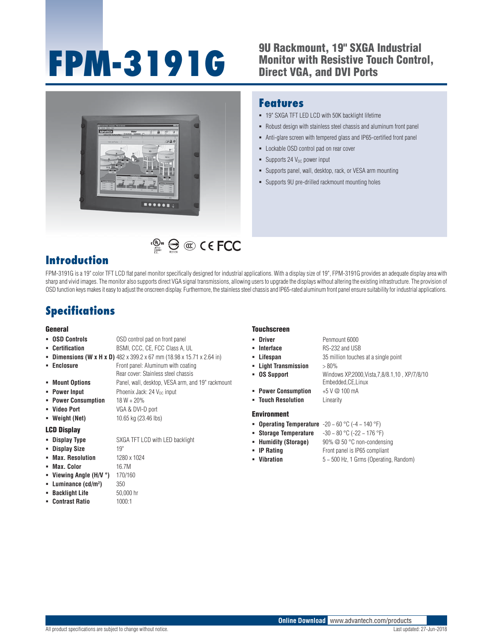# **FPM-3191G 9U Rackmount, 19" SXGA Industrial**

# **Monitor with Resistive Touch Control, Direct VGA, and DVI Ports**

19" SXGA TFT LED LCD with 50K backlight lifetime

**-** Lockable OSD control pad on rear cover

 $\blacksquare$  Supports 24 V<sub>DC</sub> power input

 Robust design with stainless steel chassis and aluminum front panel Anti-glare screen with tempered glass and IP65-certified front panel

 Supports panel, wall, desktop, rack, or VESA arm mounting Supports 9U pre-drilled rackmount mounting holes



# $\mathbb{C}^{\mathbb{C}^n}$   $\mathbb{C}$   $\mathbb{C}$   $\mathbb{C}$   $\mathbb{C}$   $\mathbb{C}$   $\mathbb{C}$   $\mathbb{C}$   $\mathbb{C}$   $\mathbb{C}$   $\mathbb{C}$   $\mathbb{C}$   $\mathbb{C}$   $\mathbb{C}$   $\mathbb{C}$   $\mathbb{C}$   $\mathbb{C}$   $\mathbb{C}$   $\mathbb{C}$   $\mathbb{C}$   $\mathbb{C}$   $\mathbb{C}$   $\mathbb{C}$   $\mathbb$

### **Introduction**

FPM-3191G is a 19" color TFT LCD flat panel monitor specifically designed for industrial applications. With a display size of 19", FPM-3191G provides an adequate display area with sharp and vivid images. The monitor also supports direct VGA signal transmissions, allowing users to upgrade the displays without altering the existing infrastructure. The provision of OSD function keys makes it easy to adjust the onscreen display. Furthermore, the stainless steel chassis and IP65-rated aluminum front panel ensure suitability for industrial applications.

## **Specifications**

#### **General**

#### **OSD Controls OSD** control pad on front panel **Certification** BSMI, CCC, CE, FCC Class A, UL

- **Dimensions (W x H x D)**  $482 \times 399.2 \times 67$  mm (18.98 x 15.71 x 2.64 in)
- **Enclosure Front panel: Aluminum with coating**
- Rear cover: Stainless steel chassis **Mount Options** Panel, wall, desktop, VESA arm, and 19" rackmount
- **Power Input** Phoenix Jack: 24 V<sub>DC</sub> input
- **Power Consumption** 18 W + 20%
- **Video Port** VGA & DVI-D port
- **Weight (Net) 10.65 kg (23.46 lbs)**

#### **LCD Display**

**Display Type** SXGA TFT LCD with LED backlight

**)** 350

- **Display Size** 19"
- **Max. Resolution** 1280 x 1024
- **Max. Color** 16.7M
- **Viewing Angle (H/V °)** 170/160
- **Luminance (cd/m2**
- **Backlight Life** 50,000 hr
- **Contrast Ratio** 1000:1

#### **Touchscreen**

**Features**

- **Driver** Penmount 6000
- **Interface** RS-232 and USB
- **Lifespan** 35 million touches at a single point
- **Light Transmission** > 80%
- **OS Support** Windows XP,2000,Vista,7,8/8.1,10 , XP/7/8/10
	- Embedded,CE,Linux
- **Power Consumption** +5 V @ 100 mA
- **Touch Resolution** Linearity

#### **Environment**

- **Operating Temperature** -20 ~ 60 °C (-4 ~ 140 °F)
- **Storage Temperature** -30 ~ 80 °C (-22 ~ 176 °F)
- **Humidity (Storage)** 90% @ 50 °C non-condensing
- **IP Rating Front panel is IP65 compliant**
- **Vibration** 5 ~ 500 Hz, 1 Grms (Operating, Random)